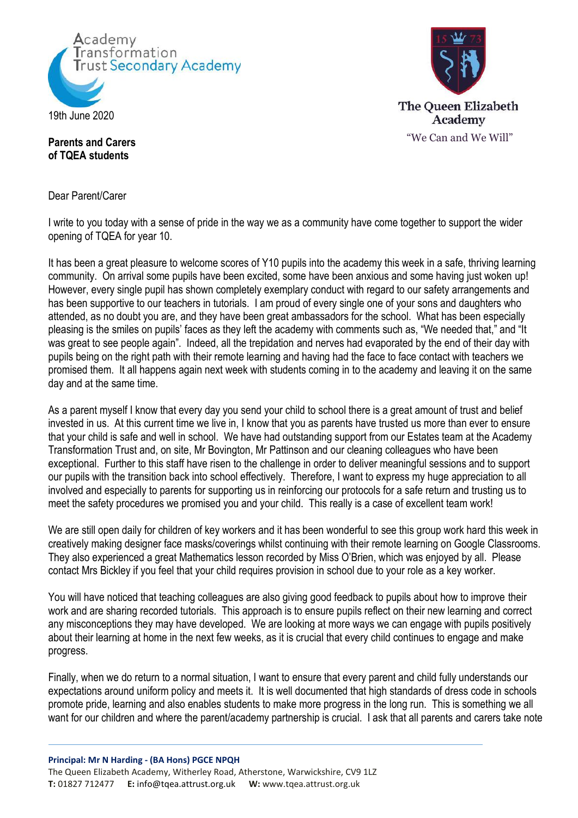



## **Parents and Carers of TQEA students**

Dear Parent/Carer

I write to you today with a sense of pride in the way we as a community have come together to support the wider opening of TQEA for year 10.

It has been a great pleasure to welcome scores of Y10 pupils into the academy this week in a safe, thriving learning community. On arrival some pupils have been excited, some have been anxious and some having just woken up! However, every single pupil has shown completely exemplary conduct with regard to our safety arrangements and has been supportive to our teachers in tutorials. I am proud of every single one of your sons and daughters who attended, as no doubt you are, and they have been great ambassadors for the school. What has been especially pleasing is the smiles on pupils' faces as they left the academy with comments such as, "We needed that," and "It was great to see people again". Indeed, all the trepidation and nerves had evaporated by the end of their day with pupils being on the right path with their remote learning and having had the face to face contact with teachers we promised them. It all happens again next week with students coming in to the academy and leaving it on the same day and at the same time.

As a parent myself I know that every day you send your child to school there is a great amount of trust and belief invested in us. At this current time we live in, I know that you as parents have trusted us more than ever to ensure that your child is safe and well in school. We have had outstanding support from our Estates team at the Academy Transformation Trust and, on site, Mr Bovington, Mr Pattinson and our cleaning colleagues who have been exceptional. Further to this staff have risen to the challenge in order to deliver meaningful sessions and to support our pupils with the transition back into school effectively. Therefore, I want to express my huge appreciation to all involved and especially to parents for supporting us in reinforcing our protocols for a safe return and trusting us to meet the safety procedures we promised you and your child. This really is a case of excellent team work!

We are still open daily for children of key workers and it has been wonderful to see this group work hard this week in creatively making designer face masks/coverings whilst continuing with their remote learning on Google Classrooms. They also experienced a great Mathematics lesson recorded by Miss O'Brien, which was enjoyed by all. Please contact Mrs Bickley if you feel that your child requires provision in school due to your role as a key worker.

You will have noticed that teaching colleagues are also giving good feedback to pupils about how to improve their work and are sharing recorded tutorials. This approach is to ensure pupils reflect on their new learning and correct any misconceptions they may have developed. We are looking at more ways we can engage with pupils positively about their learning at home in the next few weeks, as it is crucial that every child continues to engage and make progress.

Finally, when we do return to a normal situation, I want to ensure that every parent and child fully understands our expectations around uniform policy and meets it. It is well documented that high standards of dress code in schools promote pride, learning and also enables students to make more progress in the long run. This is something we all want for our children and where the parent/academy partnership is crucial. I ask that all parents and carers take note